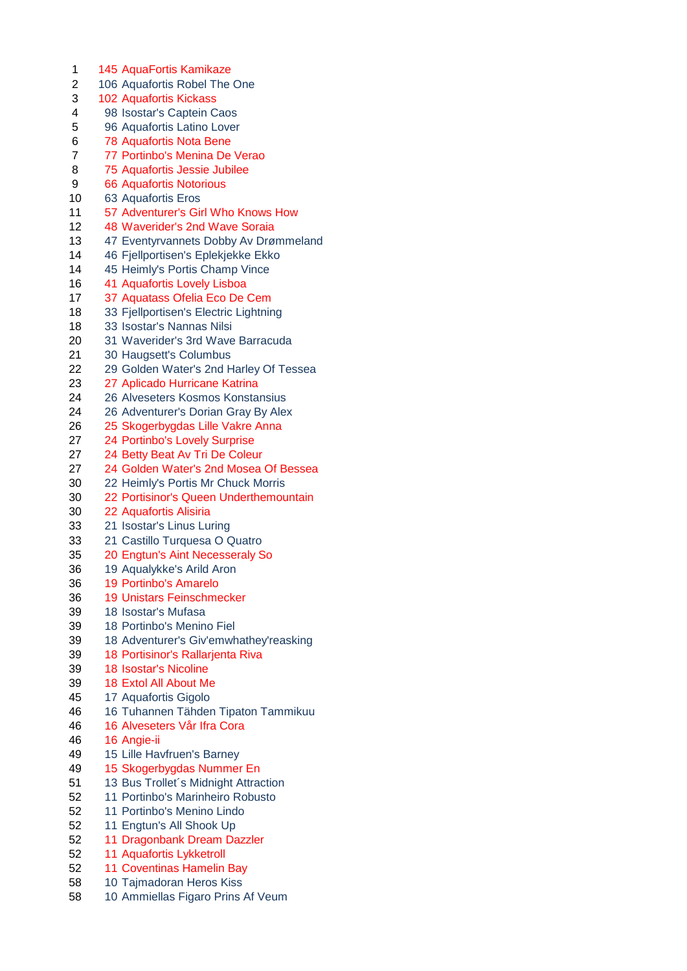1 145 AquaFortis Kamikaze 2 106 Aquafortis Robel The One 102 Aquafortis Kickass 98 Isostar's Captein Caos 96 Aquafortis Latino Lover 78 Aquafortis Nota Bene 77 Portinbo's Menina De Verao 75 Aquafortis Jessie Jubilee 66 Aquafortis Notorious 63 Aquafortis Eros 57 Adventurer's Girl Who Knows How 48 Waverider's 2nd Wave Soraia 47 Eventyrvannets Dobby Av Drømmeland 46 Fjellportisen's Eplekjekke Ekko 45 Heimly's Portis Champ Vince 41 Aquafortis Lovely Lisboa 37 Aquatass Ofelia Eco De Cem 18 33 Fjellportisen's Electric Lightning 33 Isostar's Nannas Nilsi 31 Waverider's 3rd Wave Barracuda 30 Haugsett's Columbus 29 Golden Water's 2nd Harley Of Tessea 27 Aplicado Hurricane Katrina 26 Alveseters Kosmos Konstansius 26 Adventurer's Dorian Gray By Alex 25 Skogerbygdas Lille Vakre Anna 24 Portinbo's Lovely Surprise 24 Betty Beat Av Tri De Coleur 24 Golden Water's 2nd Mosea Of Bessea 22 Heimly's Portis Mr Chuck Morris 22 Portisinor's Queen Underthemountain 22 Aquafortis Alisiria 21 Isostar's Linus Luring 21 Castillo Turquesa O Quatro 20 Engtun's Aint Necesseraly So 19 Aqualykke's Arild Aron 19 Portinbo's Amarelo 19 Unistars Feinschmecker 18 Isostar's Mufasa 18 Portinbo's Menino Fiel 18 Adventurer's Giv'emwhathey'reasking 18 Portisinor's Rallarjenta Riva 18 Isostar's Nicoline 18 Extol All About Me 17 Aquafortis Gigolo 16 Tuhannen Tähden Tipaton Tammikuu 16 Alveseters Vår Ifra Cora 16 Angie-ii 15 Lille Havfruen's Barney 15 Skogerbygdas Nummer En 51 13 Bus Trollet's Midnight Attraction 11 Portinbo's Marinheiro Robusto 11 Portinbo's Menino Lindo 11 Engtun's All Shook Up 11 Dragonbank Dream Dazzler 11 Aquafortis Lykketroll 11 Coventinas Hamelin Bay 10 Tajmadoran Heros Kiss 10 Ammiellas Figaro Prins Af Veum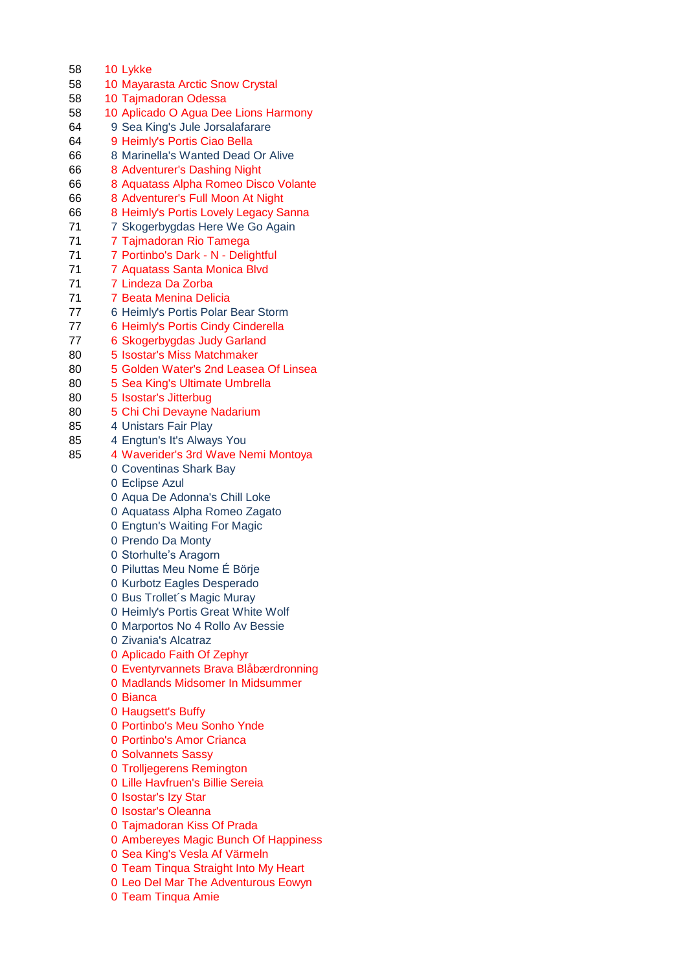10 Lykke 10 Mayarasta Arctic Snow Crystal 10 Tajmadoran Odessa 10 Aplicado O Agua Dee Lions Harmony 9 Sea King's Jule Jorsalafarare 9 Heimly's Portis Ciao Bella 8 Marinella's Wanted Dead Or Alive 8 Adventurer's Dashing Night 8 Aquatass Alpha Romeo Disco Volante 8 Adventurer's Full Moon At Night 8 Heimly's Portis Lovely Legacy Sanna 71 7 Skogerbygdas Here We Go Again 71 7 Tajmadoran Rio Tamega 71 7 Portinbo's Dark - N - Delightful 7 Aquatass Santa Monica Blvd 7 Lindeza Da Zorba 71 7 Beata Menina Delicia 6 Heimly's Portis Polar Bear Storm 6 Heimly's Portis Cindy Cinderella 6 Skogerbygdas Judy Garland 5 Isostar's Miss Matchmaker 5 Golden Water's 2nd Leasea Of Linsea 5 Sea King's Ultimate Umbrella 5 Isostar's Jitterbug 5 Chi Chi Devayne Nadarium 4 Unistars Fair Play 4 Engtun's It's Always You 4 Waverider's 3rd Wave Nemi Montoya Coventinas Shark Bay Eclipse Azul Aqua De Adonna's Chill Loke Aquatass Alpha Romeo Zagato Engtun's Waiting For Magic Prendo Da Monty Storhulte's Aragorn Piluttas Meu Nome É Börje Kurbotz Eagles Desperado Bus Trollet´s Magic Muray Heimly's Portis Great White Wolf Marportos No 4 Rollo Av Bessie Zivania's Alcatraz Aplicado Faith Of Zephyr Eventyrvannets Brava Blåbærdronning Madlands Midsomer In Midsummer Bianca Haugsett's Buffy Portinbo's Meu Sonho Ynde Portinbo's Amor Crianca Solvannets Sassy Trolljegerens Remington Lille Havfruen's Billie Sereia Isostar's Izy Star Isostar's Oleanna Tajmadoran Kiss Of Prada Ambereyes Magic Bunch Of Happiness Sea King's Vesla Af Värmeln Team Tinqua Straight Into My Heart Leo Del Mar The Adventurous Eowyn Team Tinqua Amie